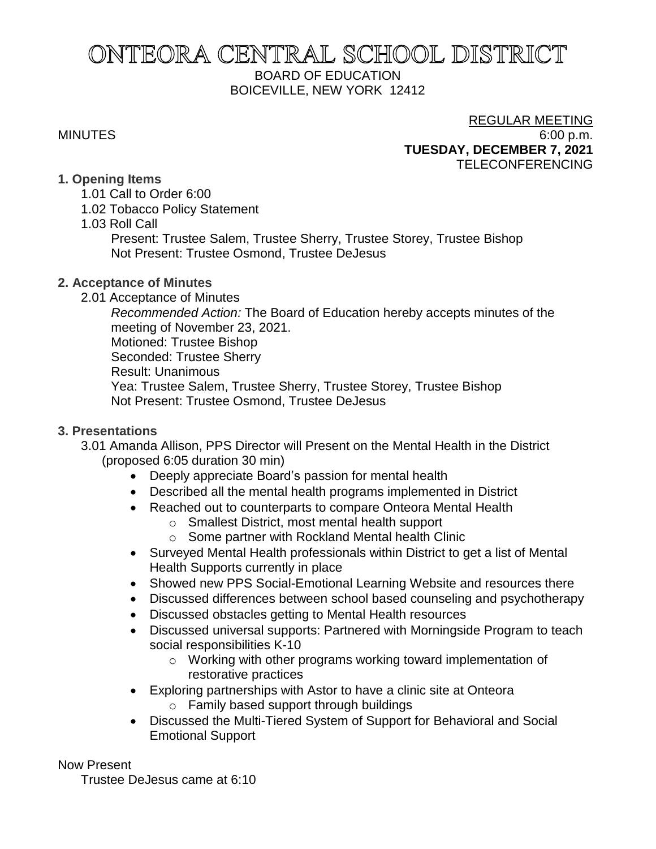# ONTEORA CENTRAL SCHOOL DISTRICT BOARD OF EDUCATION BOICEVILLE, NEW YORK 12412

# REGULAR MEETING MINUTES 6:00 p.m. **TUESDAY, DECEMBER 7, 2021** TELECONFERENCING

#### **1. Opening Items**

- 1.01 Call to Order 6:00
- 1.02 Tobacco Policy Statement
- 1.03 Roll Call

Present: Trustee Salem, Trustee Sherry, Trustee Storey, Trustee Bishop Not Present: Trustee Osmond, Trustee DeJesus

# **2. Acceptance of Minutes**

2.01 Acceptance of Minutes

*Recommended Action:* The Board of Education hereby accepts minutes of the meeting of November 23, 2021. Motioned: Trustee Bishop Seconded: Trustee Sherry Result: Unanimous Yea: Trustee Salem, Trustee Sherry, Trustee Storey, Trustee Bishop Not Present: Trustee Osmond, Trustee DeJesus

# **3. Presentations**

3.01 Amanda Allison, PPS Director will Present on the Mental Health in the District (proposed 6:05 duration 30 min)

- Deeply appreciate Board's passion for mental health
- Described all the mental health programs implemented in District
- Reached out to counterparts to compare Onteora Mental Health
	- o Smallest District, most mental health support
	- o Some partner with Rockland Mental health Clinic
- Surveyed Mental Health professionals within District to get a list of Mental Health Supports currently in place
- Showed new PPS Social-Emotional Learning Website and resources there
- Discussed differences between school based counseling and psychotherapy
- Discussed obstacles getting to Mental Health resources
- Discussed universal supports: Partnered with Morningside Program to teach social responsibilities K-10
	- o Working with other programs working toward implementation of restorative practices
- Exploring partnerships with Astor to have a clinic site at Onteora o Family based support through buildings
- Discussed the Multi-Tiered System of Support for Behavioral and Social Emotional Support

Now Present

Trustee DeJesus came at 6:10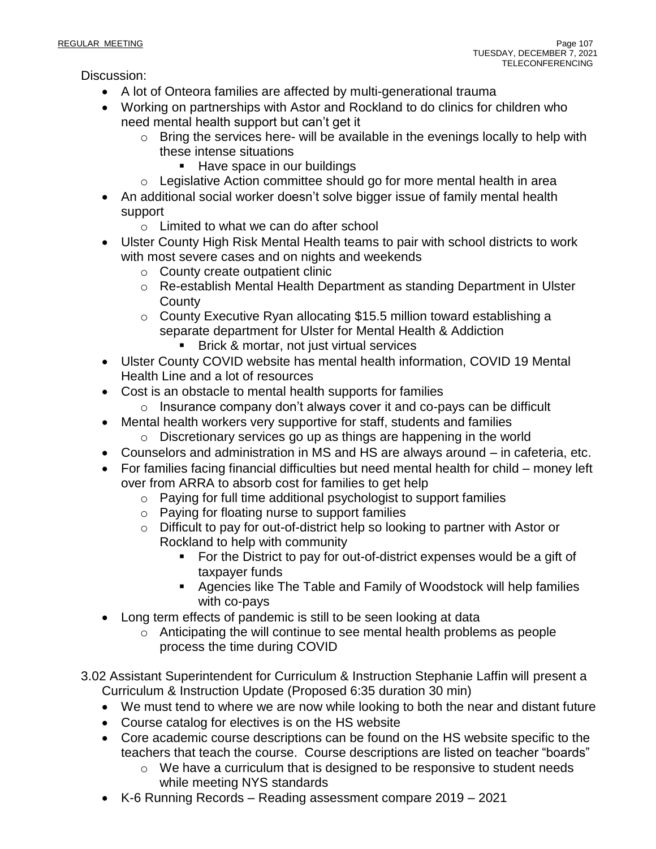Discussion:

- A lot of Onteora families are affected by multi-generational trauma
- Working on partnerships with Astor and Rockland to do clinics for children who need mental health support but can't get it
	- o Bring the services here- will be available in the evenings locally to help with these intense situations
		- Have space in our buildings
	- o Legislative Action committee should go for more mental health in area
- An additional social worker doesn't solve bigger issue of family mental health support
	- o Limited to what we can do after school
- Ulster County High Risk Mental Health teams to pair with school districts to work with most severe cases and on nights and weekends
	- o County create outpatient clinic
	- o Re-establish Mental Health Department as standing Department in Ulster **County**
	- o County Executive Ryan allocating \$15.5 million toward establishing a separate department for Ulster for Mental Health & Addiction
		- Brick & mortar, not just virtual services
- Ulster County COVID website has mental health information, COVID 19 Mental Health Line and a lot of resources
- Cost is an obstacle to mental health supports for families
	- o Insurance company don't always cover it and co-pays can be difficult
- Mental health workers very supportive for staff, students and families o Discretionary services go up as things are happening in the world
- Counselors and administration in MS and HS are always around in cafeteria, etc.
- For families facing financial difficulties but need mental health for child money left over from ARRA to absorb cost for families to get help
	- o Paying for full time additional psychologist to support families
	- o Paying for floating nurse to support families
	- o Difficult to pay for out-of-district help so looking to partner with Astor or Rockland to help with community
		- For the District to pay for out-of-district expenses would be a gift of taxpayer funds
		- **EXEDENT Agencies like The Table and Family of Woodstock will help families** with co-pays
- Long term effects of pandemic is still to be seen looking at data
	- o Anticipating the will continue to see mental health problems as people process the time during COVID
- 3.02 Assistant Superintendent for Curriculum & Instruction Stephanie Laffin will present a Curriculum & Instruction Update (Proposed 6:35 duration 30 min)
	- We must tend to where we are now while looking to both the near and distant future
	- Course catalog for electives is on the HS website
	- Core academic course descriptions can be found on the HS website specific to the teachers that teach the course. Course descriptions are listed on teacher "boards"
		- o We have a curriculum that is designed to be responsive to student needs while meeting NYS standards
	- K-6 Running Records Reading assessment compare 2019 2021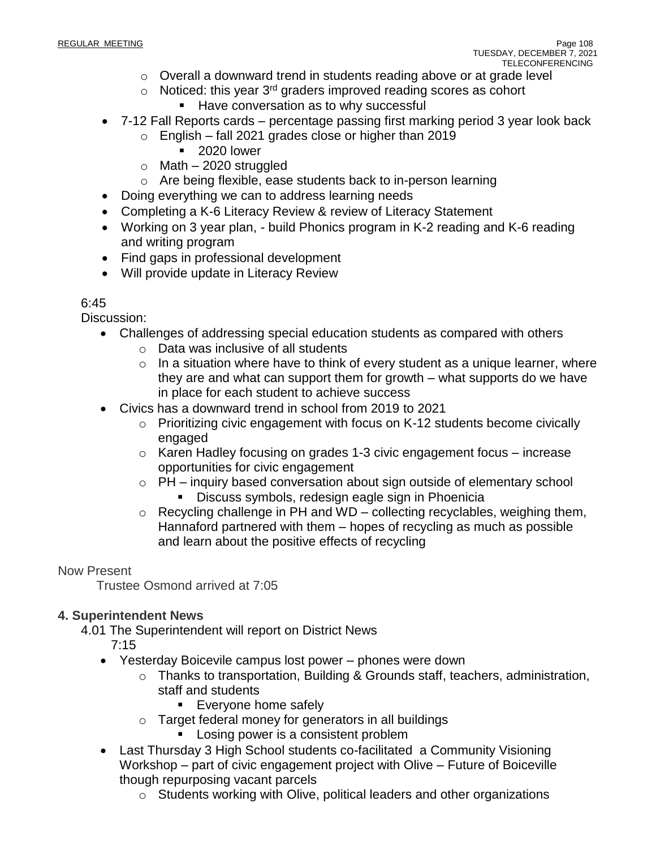- o Overall a downward trend in students reading above or at grade level
- $\circ$  Noticed: this year 3<sup>rd</sup> graders improved reading scores as cohort
	- Have conversation as to why successful
- 7-12 Fall Reports cards percentage passing first marking period 3 year look back
	- $\circ$  English fall 2021 grades close or higher than 2019
		- 2020 lower
	- $\circ$  Math 2020 struggled
	- o Are being flexible, ease students back to in-person learning
- Doing everything we can to address learning needs
- Completing a K-6 Literacy Review & review of Literacy Statement
- Working on 3 year plan, build Phonics program in K-2 reading and K-6 reading and writing program
- Find gaps in professional development
- Will provide update in Literacy Review

# $6:45$

Discussion:

- Challenges of addressing special education students as compared with others
	- o Data was inclusive of all students
	- $\circ$  In a situation where have to think of every student as a unique learner, where they are and what can support them for growth – what supports do we have in place for each student to achieve success
- Civics has a downward trend in school from 2019 to 2021
	- $\circ$  Prioritizing civic engagement with focus on K-12 students become civically engaged
	- o Karen Hadley focusing on grades 1-3 civic engagement focus increase opportunities for civic engagement
	- o PH inquiry based conversation about sign outside of elementary school **EXED** Discuss symbols, redesign eagle sign in Phoenicia
	- $\circ$  Recycling challenge in PH and WD collecting recyclables, weighing them, Hannaford partnered with them – hopes of recycling as much as possible and learn about the positive effects of recycling

# Now Present

Trustee Osmond arrived at 7:05

# **4. Superintendent News**

4.01 The Superintendent will report on District News

7:15

- Yesterday Boicevile campus lost power phones were down
	- o Thanks to transportation, Building & Grounds staff, teachers, administration, staff and students
		- **Everyone home safely**
	- o Target federal money for generators in all buildings
		- Losing power is a consistent problem
- Last Thursday 3 High School students co-facilitated a Community Visioning Workshop – part of civic engagement project with Olive – Future of Boiceville though repurposing vacant parcels
	- o Students working with Olive, political leaders and other organizations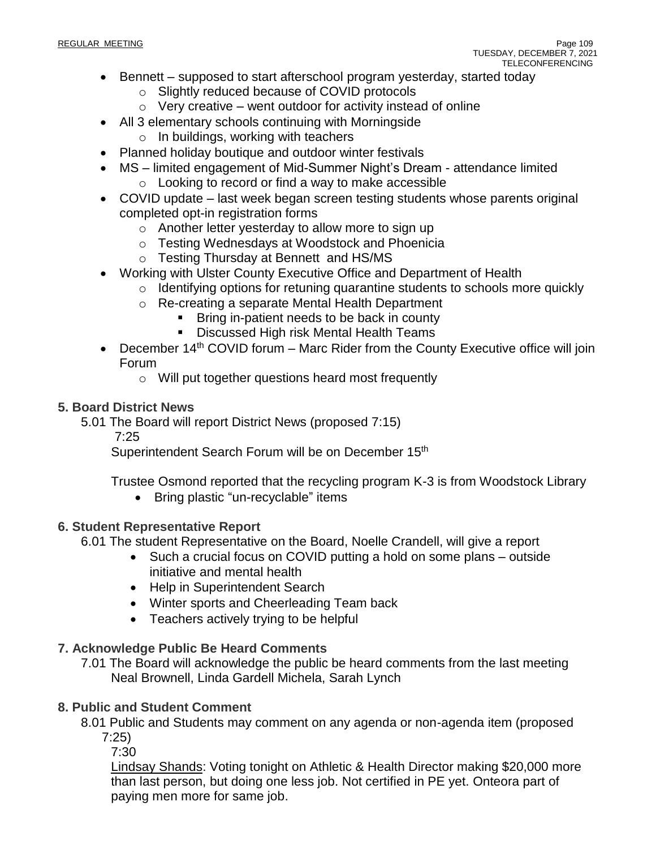- Bennett supposed to start afterschool program yesterday, started today
	- o Slightly reduced because of COVID protocols
	- $\circ$  Very creative went outdoor for activity instead of online
- All 3 elementary schools continuing with Morningside
	- o In buildings, working with teachers
- Planned holiday boutique and outdoor winter festivals
- MS limited engagement of Mid-Summer Night's Dream attendance limited
	- o Looking to record or find a way to make accessible
- COVID update last week began screen testing students whose parents original completed opt-in registration forms
	- o Another letter yesterday to allow more to sign up
	- o Testing Wednesdays at Woodstock and Phoenicia
	- o Testing Thursday at Bennett and HS/MS
- Working with Ulster County Executive Office and Department of Health
	- o Identifying options for retuning quarantine students to schools more quickly
	- o Re-creating a separate Mental Health Department
		- Bring in-patient needs to be back in county
		- Discussed High risk Mental Health Teams
- December  $14<sup>th</sup>$  COVID forum Marc Rider from the County Executive office will join Forum
	- o Will put together questions heard most frequently

#### **5. Board District News**

5.01 The Board will report District News (proposed 7:15)

7:25

Superintendent Search Forum will be on December 15<sup>th</sup>

Trustee Osmond reported that the recycling program K-3 is from Woodstock Library

• Bring plastic "un-recyclable" items

#### **6. Student Representative Report**

6.01 The student Representative on the Board, Noelle Crandell, will give a report

- Such a crucial focus on COVID putting a hold on some plans outside initiative and mental health
- Help in Superintendent Search
- Winter sports and Cheerleading Team back
- Teachers actively trying to be helpful

#### **7. Acknowledge Public Be Heard Comments**

7.01 The Board will acknowledge the public be heard comments from the last meeting Neal Brownell, Linda Gardell Michela, Sarah Lynch

#### **8. Public and Student Comment**

8.01 Public and Students may comment on any agenda or non-agenda item (proposed 7:25)

7:30

Lindsay Shands: Voting tonight on Athletic & Health Director making \$20,000 more than last person, but doing one less job. Not certified in PE yet. Onteora part of paying men more for same job.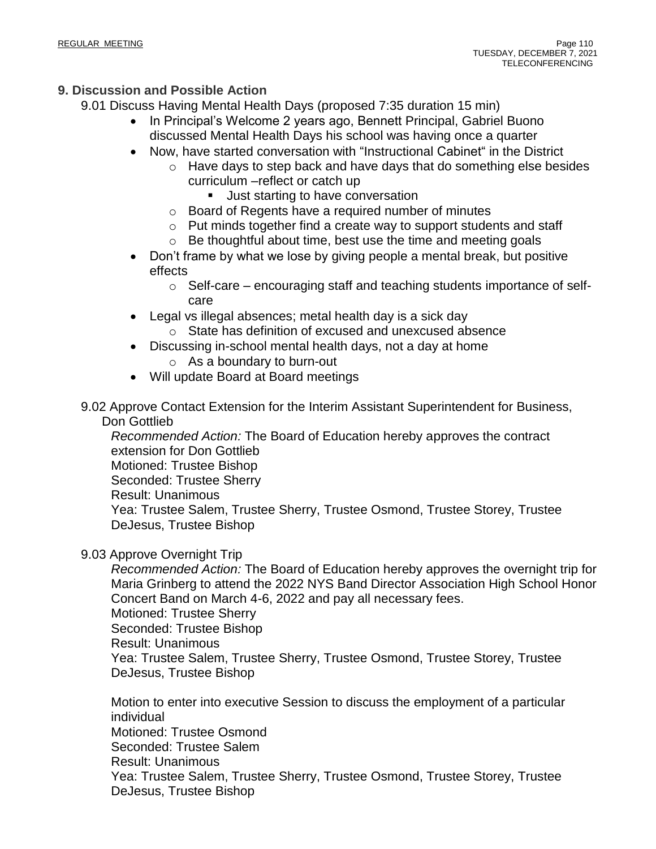# **9. Discussion and Possible Action**

9.01 Discuss Having Mental Health Days (proposed 7:35 duration 15 min)

- In Principal's Welcome 2 years ago, Bennett Principal, Gabriel Buono discussed Mental Health Days his school was having once a quarter
- Now, have started conversation with "Instructional Cabinet" in the District
	- o Have days to step back and have days that do something else besides curriculum –reflect or catch up
		- Just starting to have conversation
	- o Board of Regents have a required number of minutes
	- o Put minds together find a create way to support students and staff
	- o Be thoughtful about time, best use the time and meeting goals
- Don't frame by what we lose by giving people a mental break, but positive effects
	- $\circ$  Self-care encouraging staff and teaching students importance of selfcare
- Legal vs illegal absences; metal health day is a sick day
- o State has definition of excused and unexcused absence
- Discussing in-school mental health days, not a day at home
	- o As a boundary to burn-out
- Will update Board at Board meetings

9.02 Approve Contact Extension for the Interim Assistant Superintendent for Business, Don Gottlieb

*Recommended Action:* The Board of Education hereby approves the contract extension for Don Gottlieb Motioned: Trustee Bishop Seconded: Trustee Sherry Result: Unanimous Yea: Trustee Salem, Trustee Sherry, Trustee Osmond, Trustee Storey, Trustee DeJesus, Trustee Bishop

# 9.03 Approve Overnight Trip

*Recommended Action:* The Board of Education hereby approves the overnight trip for Maria Grinberg to attend the 2022 NYS Band Director Association High School Honor Concert Band on March 4-6, 2022 and pay all necessary fees. Motioned: Trustee Sherry Seconded: Trustee Bishop Result: Unanimous

Yea: Trustee Salem, Trustee Sherry, Trustee Osmond, Trustee Storey, Trustee DeJesus, Trustee Bishop

Motion to enter into executive Session to discuss the employment of a particular individual Motioned: Trustee Osmond Seconded: Trustee Salem Result: Unanimous Yea: Trustee Salem, Trustee Sherry, Trustee Osmond, Trustee Storey, Trustee DeJesus, Trustee Bishop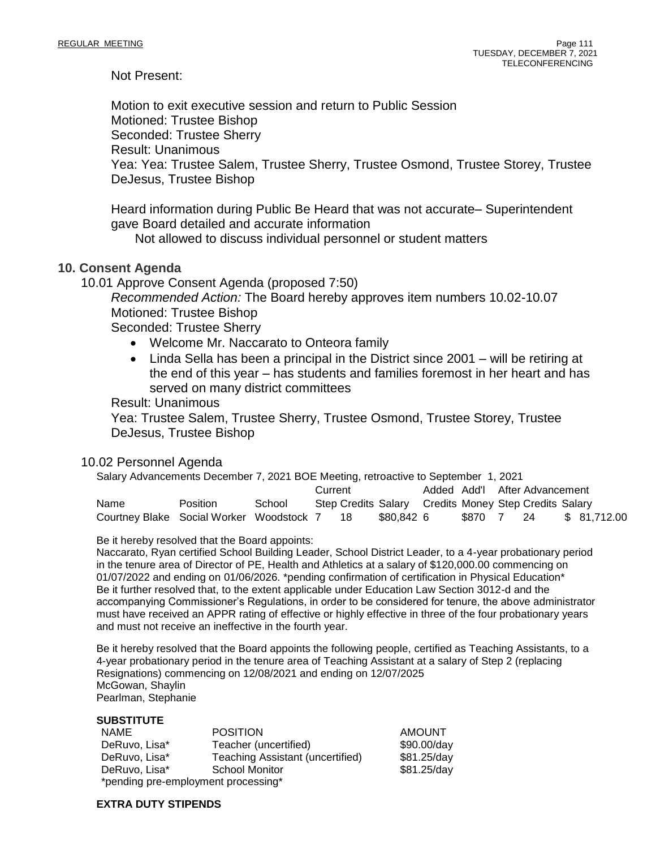Not Present:

Motion to exit executive session and return to Public Session Motioned: Trustee Bishop Seconded: Trustee Sherry Result: Unanimous Yea: Yea: Trustee Salem, Trustee Sherry, Trustee Osmond, Trustee Storey, Trustee DeJesus, Trustee Bishop

Heard information during Public Be Heard that was not accurate– Superintendent gave Board detailed and accurate information

Not allowed to discuss individual personnel or student matters

#### **10. Consent Agenda**

10.01 Approve Consent Agenda (proposed 7:50)

*Recommended Action:* The Board hereby approves item numbers 10.02-10.07 Motioned: Trustee Bishop

Seconded: Trustee Sherry

- Welcome Mr. Naccarato to Onteora family
- Linda Sella has been a principal in the District since 2001 will be retiring at the end of this year – has students and families foremost in her heart and has served on many district committees

Result: Unanimous

Yea: Trustee Salem, Trustee Sherry, Trustee Osmond, Trustee Storey, Trustee DeJesus, Trustee Bishop

#### 10.02 Personnel Agenda

| Salary Advancements December 7, 2021 BOE Meeting, retroactive to September 1, 2021 |          |        |         |  |                                                       |  |         |                               |              |
|------------------------------------------------------------------------------------|----------|--------|---------|--|-------------------------------------------------------|--|---------|-------------------------------|--------------|
|                                                                                    |          |        | Current |  |                                                       |  |         | Added Add'l After Advancement |              |
| Name                                                                               | Position | School |         |  | Step Credits Salary Credits Money Step Credits Salary |  |         |                               |              |
| Courtney Blake Social Worker Woodstock 7 18                                        |          |        |         |  | \$80.842 6                                            |  | \$870 7 | 24                            | \$ 81.712.00 |

Be it hereby resolved that the Board appoints:

Naccarato, Ryan certified School Building Leader, School District Leader, to a 4-year probationary period in the tenure area of Director of PE, Health and Athletics at a salary of \$120,000.00 commencing on 01/07/2022 and ending on 01/06/2026. \*pending confirmation of certification in Physical Education\* Be it further resolved that, to the extent applicable under Education Law Section 3012-d and the accompanying Commissioner's Regulations, in order to be considered for tenure, the above administrator must have received an APPR rating of effective or highly effective in three of the four probationary years and must not receive an ineffective in the fourth year.

Be it hereby resolved that the Board appoints the following people, certified as Teaching Assistants, to a 4-year probationary period in the tenure area of Teaching Assistant at a salary of Step 2 (replacing Resignations) commencing on 12/08/2021 and ending on 12/07/2025 McGowan, Shaylin Pearlman, Stephanie

#### **SUBSTITUTE**

| NAME                                | <b>POSITION</b>                  | <b>AMOUNT</b> |  |  |  |
|-------------------------------------|----------------------------------|---------------|--|--|--|
| DeRuvo, Lisa*                       | Teacher (uncertified)            | \$90.00/day   |  |  |  |
| DeRuvo, Lisa*                       | Teaching Assistant (uncertified) | \$81.25/day   |  |  |  |
| DeRuvo, Lisa*                       | <b>School Monitor</b>            | \$81.25/day   |  |  |  |
| *pending pre-employment processing* |                                  |               |  |  |  |

**EXTRA DUTY STIPENDS**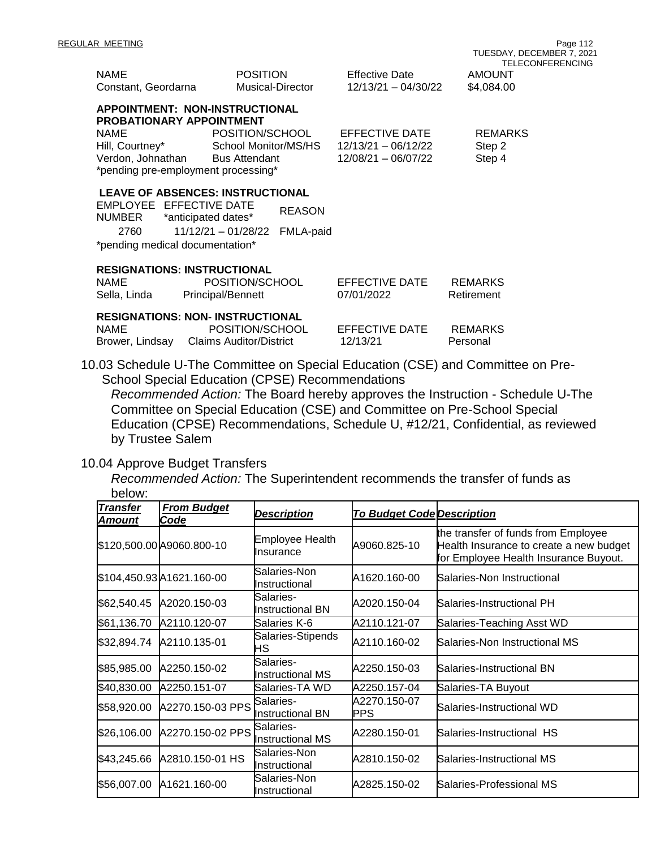| <b>NAME</b><br>Constant, Geordarna                                                               | <b>POSITION</b><br>Musical-Director                                                                                                                 |                            | <b>Effective Date</b><br>12/13/21 - 04/30/22                              | <b>AMOUNT</b><br>\$4,084.00        |
|--------------------------------------------------------------------------------------------------|-----------------------------------------------------------------------------------------------------------------------------------------------------|----------------------------|---------------------------------------------------------------------------|------------------------------------|
| <b>PROBATIONARY APPOINTMENT</b><br><b>NAME</b><br>Hill, Courtney*                                | APPOINTMENT: NON-INSTRUCTIONAL<br>POSITION/SCHOOL<br>School Monitor/MS/HS<br>Verdon, Johnathan Bus Attendant<br>*pending pre-employment processing* |                            | EFFECTIVE DATE<br>12/13/21 - 06/12/22<br>12/08/21 - 06/07/22              | <b>REMARKS</b><br>Step 2<br>Step 4 |
| EMPLOYEE EFFECTIVE DATE<br>NUMBER *anticipated dates*<br>2760<br>*pending medical documentation* | <b>LEAVE OF ABSENCES: INSTRUCTIONAL</b><br>$11/12/21 - 01/28/22$                                                                                    | <b>REASON</b><br>FMLA-paid |                                                                           |                                    |
| <b>RESIGNATIONS: INSTRUCTIONAL</b><br><b>NAME</b><br>Sella, Linda                                | POSITION/SCHOOL<br><b>Principal/Bennett</b>                                                                                                         |                            | EFFECTIVE DATE<br>07/01/2022                                              | <b>REMARKS</b><br>Retirement       |
| <b>NAME</b>                                                                                      | <b>RESIGNATIONS: NON- INSTRUCTIONAL</b><br>POSITION/SCHOOL<br>Brower, Lindsay Claims Auditor/District                                               |                            | EFFECTIVE DATE<br>12/13/21                                                | <b>REMARKS</b><br>Personal         |
|                                                                                                  |                                                                                                                                                     |                            | 0.03 Schedule U-The Committee on Special Education (CSE) and Committee on |                                    |

10.03 Schedule U-The Committee on Special Education (CSE) and Committee on Pre-School Special Education (CPSE) Recommendations

*Recommended Action:* The Board hereby approves the Instruction - Schedule U-The Committee on Special Education (CSE) and Committee on Pre-School Special Education (CPSE) Recommendations, Schedule U, #12/21, Confidential, as reviewed by Trustee Salem

# 10.04 Approve Budget Transfers

*Recommended Action:* The Superintendent recommends the transfer of funds as below:

| טעטוש.                    |                            |                                       |                                   |                                                                                                                         |
|---------------------------|----------------------------|---------------------------------------|-----------------------------------|-------------------------------------------------------------------------------------------------------------------------|
| <b>Transfer</b><br>Amount | <b>From Budget</b><br>Code | <b>Description</b>                    | <b>To Budget Code Description</b> |                                                                                                                         |
|                           | \$120,500.00 A9060.800-10  | Employee Health<br>Insurance          | A9060.825-10                      | the transfer of funds from Employee<br>Health Insurance to create a new budget<br>for Employee Health Insurance Buyout. |
|                           | \$104,450.93 A1621.160-00  | Salaries-Non<br>Instructional         | A1620.160-00                      | Salaries-Non Instructional                                                                                              |
| \$62,540.45               | A2020.150-03               | Salaries-<br><b>I</b> nstructional BN | A2020.150-04                      | Salaries-Instructional PH                                                                                               |
| \$61,136.70               | A2110.120-07               | Salaries K-6                          | A2110.121-07                      | Salaries-Teaching Asst WD                                                                                               |
| \$32,894.74               | A2110.135-01               | Salaries-Stipends<br>НS               | A2110.160-02                      | Salaries-Non Instructional MS                                                                                           |
| \$85,985.00               | A2250.150-02               | Salaries-<br><b>Instructional MS</b>  | A2250.150-03                      | Salaries-Instructional BN                                                                                               |
| \$40,830.00               | A2250.151-07               | Salaries-TA WD                        | A2250.157-04                      | Salaries-TA Buyout                                                                                                      |
| \$58,920.00               | A2270.150-03 PPS           | Salaries-<br>Instructional BN         | A2270.150-07<br>PPS               | Salaries-Instructional WD                                                                                               |
| \$26,106.00               | A2270.150-02 PPS Salaries- | Instructional MS                      | A2280.150-01                      | Salaries-Instructional HS                                                                                               |
| \$43,245.66               | A2810.150-01 HS            | Salaries-Non<br>Instructional         | A2810.150-02                      | Salaries-Instructional MS                                                                                               |
| \$56,007.00               | A1621.160-00               | Salaries-Non<br>Instructional         | A2825.150-02                      | Salaries-Professional MS                                                                                                |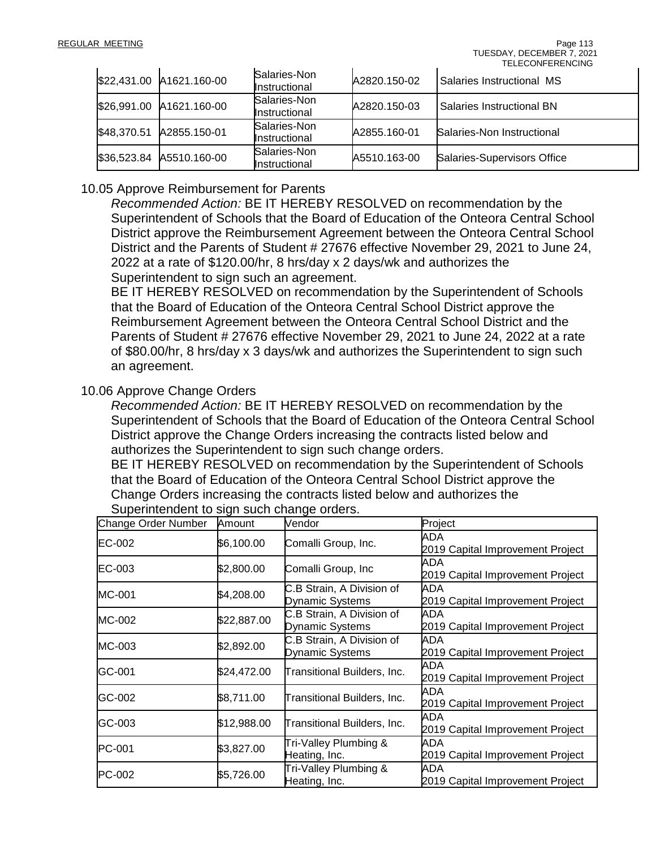|             | \$22,431.00 A1621.160-00 | Salaries-Non<br>Instructional | A2820.150-02 | Salaries Instructional MS          |
|-------------|--------------------------|-------------------------------|--------------|------------------------------------|
|             | \$26,991.00 A1621.160-00 | Salaries-Non<br>Instructional | A2820.150-03 | Salaries Instructional BN          |
| \$48,370.51 | A2855.150-01             | Salaries-Non<br>Instructional | A2855.160-01 | Salaries-Non Instructional         |
| \$36,523.84 | A5510.160-00             | Salaries-Non<br>Instructional | A5510.163-00 | <b>Salaries-Supervisors Office</b> |

# 10.05 Approve Reimbursement for Parents

*Recommended Action:* BE IT HEREBY RESOLVED on recommendation by the Superintendent of Schools that the Board of Education of the Onteora Central School District approve the Reimbursement Agreement between the Onteora Central School District and the Parents of Student # 27676 effective November 29, 2021 to June 24, 2022 at a rate of \$120.00/hr, 8 hrs/day x 2 days/wk and authorizes the Superintendent to sign such an agreement.

BE IT HEREBY RESOLVED on recommendation by the Superintendent of Schools that the Board of Education of the Onteora Central School District approve the Reimbursement Agreement between the Onteora Central School District and the Parents of Student # 27676 effective November 29, 2021 to June 24, 2022 at a rate of \$80.00/hr, 8 hrs/day x 3 days/wk and authorizes the Superintendent to sign such an agreement.

# 10.06 Approve Change Orders

*Recommended Action:* BE IT HEREBY RESOLVED on recommendation by the Superintendent of Schools that the Board of Education of the Onteora Central School District approve the Change Orders increasing the contracts listed below and authorizes the Superintendent to sign such change orders.

BE IT HEREBY RESOLVED on recommendation by the Superintendent of Schools that the Board of Education of the Onteora Central School District approve the Change Orders increasing the contracts listed below and authorizes the

| Change Order Number | Amount      | Vendor                                       | Project                                 |
|---------------------|-------------|----------------------------------------------|-----------------------------------------|
| <b>EC-002</b>       | \$6,100.00  | Comalli Group, Inc.                          | ADA<br>2019 Capital Improvement Project |
| <b>EC-003</b>       | \$2,800.00  | Comalli Group, Inc                           | ADA<br>2019 Capital Improvement Project |
| MC-001              | \$4,208.00  | C.B Strain, A Division of<br>Dynamic Systems | ADA<br>2019 Capital Improvement Project |
| MC-002              | \$22,887.00 | C.B Strain, A Division of<br>Dynamic Systems | ADA<br>2019 Capital Improvement Project |
| MC-003              | \$2,892.00  | C.B Strain, A Division of<br>Dynamic Systems | ADA<br>2019 Capital Improvement Project |
| GC-001              | \$24,472.00 | Transitional Builders, Inc.                  | ADA<br>2019 Capital Improvement Project |
| GC-002              | \$8,711.00  | Transitional Builders, Inc.                  | ADA<br>2019 Capital Improvement Project |
| GC-003              | \$12,988.00 | <b>Transitional Builders, Inc.</b>           | ADA<br>2019 Capital Improvement Project |
| PC-001              | \$3,827.00  | Tri-Valley Plumbing &<br>Heating, Inc.       | ADA<br>2019 Capital Improvement Project |
| PC-002              | \$5,726.00  | Tri-Valley Plumbing &<br>Heating, Inc.       | ADA<br>2019 Capital Improvement Project |

Superintendent to sign such change orders.